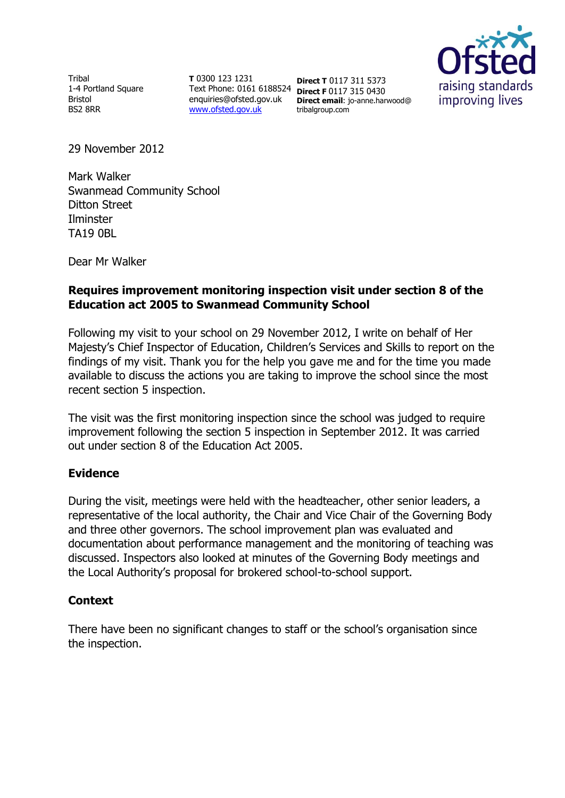Tribal 1-4 Portland Square Bristol BS2 8RR

**T** 0300 123 1231 Text Phone: 0161 6188524 **Direct F** 0117 315 0430 enquiries@ofsted.gov.uk [www.ofsted.gov.uk](http://www.ofsted.gov.uk/)

**Direct T** 0117 311 5373 **Direct email**: jo-anne.harwood@ tribalgroup.com



29 November 2012

Mark Walker Swanmead Community School Ditton Street Ilminster TA19 0BL

Dear Mr Walker

## **Requires improvement monitoring inspection visit under section 8 of the Education act 2005 to Swanmead Community School**

Following my visit to your school on 29 November 2012, I write on behalf of Her Majesty's Chief Inspector of Education, Children's Services and Skills to report on the findings of my visit. Thank you for the help you gave me and for the time you made available to discuss the actions you are taking to improve the school since the most recent section 5 inspection.

The visit was the first monitoring inspection since the school was judged to require improvement following the section 5 inspection in September 2012. It was carried out under section 8 of the Education Act 2005.

### **Evidence**

During the visit, meetings were held with the headteacher, other senior leaders, a representative of the local authority, the Chair and Vice Chair of the Governing Body and three other governors. The school improvement plan was evaluated and documentation about performance management and the monitoring of teaching was discussed. Inspectors also looked at minutes of the Governing Body meetings and the Local Authority's proposal for brokered school-to-school support.

### **Context**

There have been no significant changes to staff or the school's organisation since the inspection.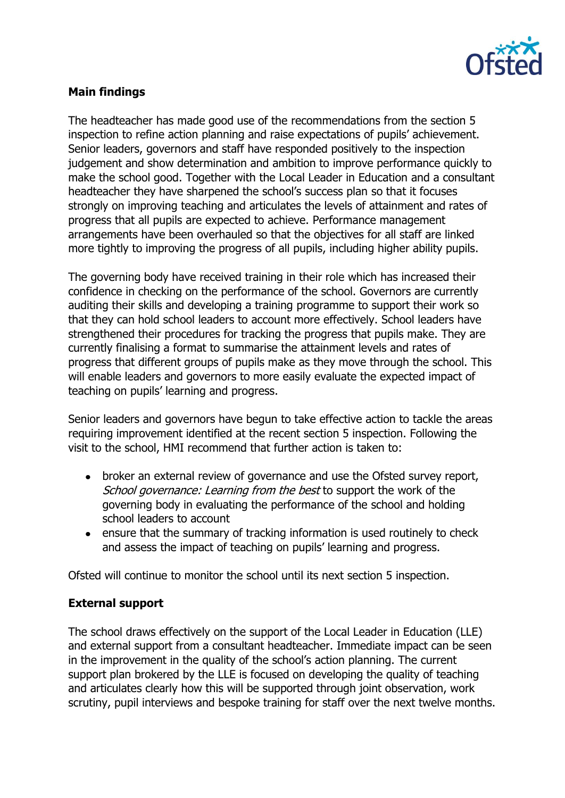

# **Main findings**

The headteacher has made good use of the recommendations from the section 5 inspection to refine action planning and raise expectations of pupils' achievement. Senior leaders, governors and staff have responded positively to the inspection judgement and show determination and ambition to improve performance quickly to make the school good. Together with the Local Leader in Education and a consultant headteacher they have sharpened the school's success plan so that it focuses strongly on improving teaching and articulates the levels of attainment and rates of progress that all pupils are expected to achieve. Performance management arrangements have been overhauled so that the objectives for all staff are linked more tightly to improving the progress of all pupils, including higher ability pupils.

The governing body have received training in their role which has increased their confidence in checking on the performance of the school. Governors are currently auditing their skills and developing a training programme to support their work so that they can hold school leaders to account more effectively. School leaders have strengthened their procedures for tracking the progress that pupils make. They are currently finalising a format to summarise the attainment levels and rates of progress that different groups of pupils make as they move through the school. This will enable leaders and governors to more easily evaluate the expected impact of teaching on pupils' learning and progress.

Senior leaders and governors have begun to take effective action to tackle the areas requiring improvement identified at the recent section 5 inspection. Following the visit to the school, HMI recommend that further action is taken to:

- broker an external review of governance and use the Ofsted survey report,  $\bullet$ School governance: Learning from the best to support the work of the governing body in evaluating the performance of the school and holding school leaders to account
- ensure that the summary of tracking information is used routinely to check and assess the impact of teaching on pupils' learning and progress.

Ofsted will continue to monitor the school until its next section 5 inspection.

### **External support**

The school draws effectively on the support of the Local Leader in Education (LLE) and external support from a consultant headteacher. Immediate impact can be seen in the improvement in the quality of the school's action planning. The current support plan brokered by the LLE is focused on developing the quality of teaching and articulates clearly how this will be supported through joint observation, work scrutiny, pupil interviews and bespoke training for staff over the next twelve months.